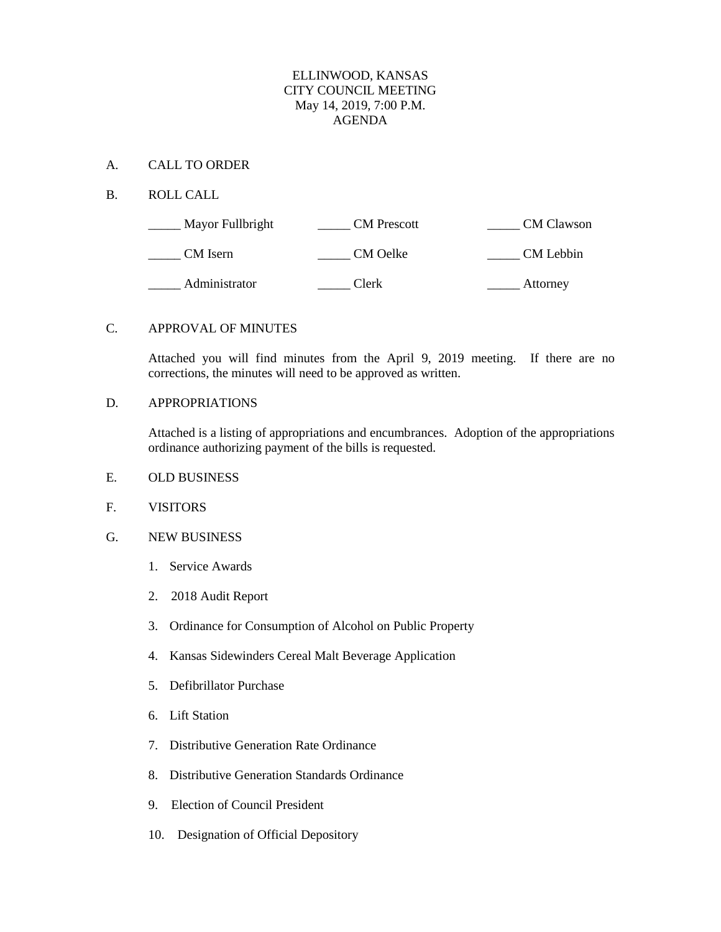## ELLINWOOD, KANSAS CITY COUNCIL MEETING May 14, 2019, 7:00 P.M. AGENDA

#### A. CALL TO ORDER

## B. ROLL CALL

| Mayor Fullbright | <b>CM</b> Prescott | <b>CM</b> Clawson |
|------------------|--------------------|-------------------|
| CM Isern         | CM Oelke           | CM Lebbin         |
| Administrator    | Clerk              | Attorney          |

#### C. APPROVAL OF MINUTES

Attached you will find minutes from the April 9, 2019 meeting. If there are no corrections, the minutes will need to be approved as written.

#### D. APPROPRIATIONS

Attached is a listing of appropriations and encumbrances. Adoption of the appropriations ordinance authorizing payment of the bills is requested.

- E. OLD BUSINESS
- F. VISITORS
- G. NEW BUSINESS
	- 1. Service Awards
	- 2. 2018 Audit Report
	- 3. Ordinance for Consumption of Alcohol on Public Property
	- 4. Kansas Sidewinders Cereal Malt Beverage Application
	- 5. Defibrillator Purchase
	- 6. Lift Station
	- 7. Distributive Generation Rate Ordinance
	- 8. Distributive Generation Standards Ordinance
	- 9. Election of Council President
	- 10. Designation of Official Depository